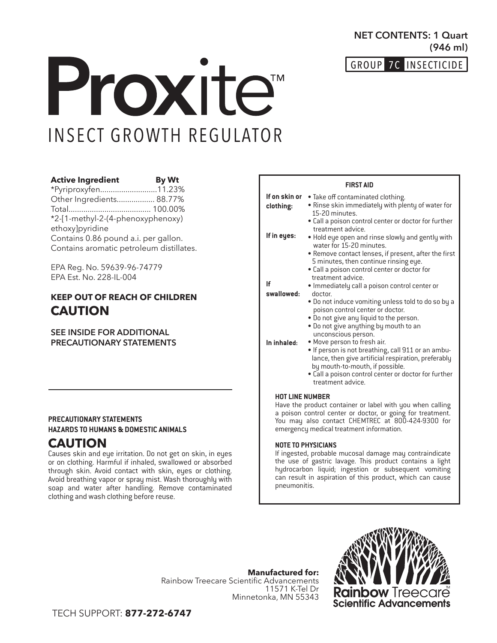## **NET CONTENTS: 1 Quart (946 ml)**

## GROUP 7C INSECTICIDE

# Proxite<sup>®</sup> **INSECT GROWTH REGULATOR**

| <b>Active Ingredient</b>                 | By Wt |
|------------------------------------------|-------|
| *Pyriproxyfen11.23%                      |       |
| Other Ingredients 88.77%                 |       |
|                                          |       |
| *2-[1-methyl-2-(4-phenoxyphenoxy)        |       |
| ethoxy]pyridine                          |       |
| Contains 0.86 pound a.i. per gallon.     |       |
| Contains aromatic petroleum distillates. |       |
|                                          |       |

EPA Reg. No. 59639-96-74779 EPA Est. No. 228-IL-004

## **KEEP OUT OF REACH OF CHILDREN CAUTION**

**SEE INSIDE FOR ADDITIONAL PRECAUTIONARY STATEMENTS**

### **PRECAUTIONARY STATEMENTS HAZARDS TO HUMANS & DOMESTIC ANIMALS**

# **CAUTION**

Causes skin and eye irritation. Do not get on skin, in eyes or on clothing. Harmful if inhaled, swallowed or absorbed through skin. Avoid contact with skin, eyes or clothing. Avoid breathing vapor or spray mist. Wash thoroughly with soap and water after handling. Remove contaminated clothing and wash clothing before reuse.

the use of gastric lavage. This product contains a light hydrocarbon liquid; ingestion or subsequent vomiting can result in aspiration of this product, which can cause pneumonitis.

**Manufactured for:** Rainbow Treecare Scientific Advancements 11571 K-Tel Dr Minnetonka, MN 55343

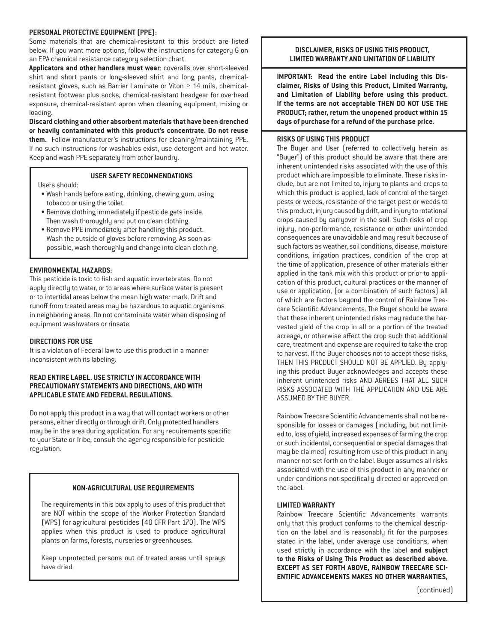#### **PERSONAL PROTECTIVE EQUIPMENT (PPE):**

Some materials that are chemical-resistant to this product are listed below. If you want more options, follow the instructions for category G on an EPA chemical resistance category selection chart.

**Applicators and other handlers must wear**: coveralls over short-sleeved shirt and short pants or long-sleeved shirt and long pants, chemicalresistant gloves, such as Barrier Laminate or Viton ≥ 14 mils, chemicalresistant footwear plus socks, chemical-resistant headgear for overhead exposure, chemical-resistant apron when cleaning equipment, mixing or loading.

**Discard clothing and other absorbent materials that have been drenched or heavily contaminated with this product's concentrate. Do not reuse them.** Follow manufacturer's instructions for cleaning/maintaining PPE. If no such instructions for washables exist, use detergent and hot water. Keep and wash PPE separately from other laundry.

#### **USER SAFETY RECOMMENDATIONS**

Users should:

- Wash hands before eating, drinking, chewing gum, using tobacco or using the toilet.
- Remove clothing immediately if pesticide gets inside. Then wash thoroughly and put on clean clothing.
- Remove PPE immediately after handling this product. Wash the outside of gloves before removing. As soon as possible, wash thoroughly and change into clean clothing.

#### **ENVIRONMENTAL HAZARDS:**

This pesticide is toxic to fish and aquatic invertebrates. Do not apply directly to water, or to areas where surface water is present or to intertidal areas below the mean high water mark. Drift and runoff from treated areas may be hazardous to aquatic organisms in neighboring areas. Do not contaminate water when disposing of equipment washwaters or rinsate.

#### **DIRECTIONS FOR USE**

It is a violation of Federal law to use this product in a manner inconsistent with its labeling.

#### **READ ENTIRE LABEL. USE STRICTLY IN ACCORDANCE WITH PRECAUTIONARY STATEMENTS AND DIRECTIONS, AND WITH APPLICABLE STATE AND FEDERAL REGULATIONS.**

Do not apply this product in a way that will contact workers or other persons, either directly or through drift. Only protected handlers may be in the area during application. For any requirements specific to your State or Tribe, consult the agency responsible for pesticide regulation.

#### **NON-AGRICULTURAL USE REQUIREMENTS**

The requirements in this box apply to uses of this product that are NOT within the scope of the Worker Protection Standard (WPS) for agricultural pesticides (40 CFR Part 170). The WPS applies when this product is used to produce agricultural plants on farms, forests, nurseries or greenhouses.

Keep unprotected persons out of treated areas until sprays have dried.

#### **DISCLAIMER, RISKS OF USING THIS PRODUCT, LIMITED WARRANTY AND LIMITATION OF LIABILITY**

**IMPORTANT: Read the entire Label including this Disclaimer, Risks of Using this Product, Limited Warranty, and Limitation of Liability before using this product. If the terms are not acceptable THEN DO NOT USE THE PRODUCT; rather, return the unopened product within 15 days of purchase for a refund of the purchase price.**

#### **RISKS OF USING THIS PRODUCT**

The Buyer and User (referred to collectively herein as "Buyer") of this product should be aware that there are inherent unintended risks associated with the use of this product which are impossible to eliminate. These risks include, but are not limited to, injury to plants and crops to which this product is applied, lack of control of the target pests or weeds, resistance of the target pest or weeds to this product, injury caused by drift, and injury to rotational crops caused by carryover in the soil. Such risks of crop injury, non-performance, resistance or other unintended consequences are unavoidable and may result because of such factors as weather, soil conditions, disease, moisture conditions, irrigation practices, condition of the crop at the time of application, presence of other materials either applied in the tank mix with this product or prior to application of this product, cultural practices or the manner of use or application, (or a combination of such factors) all of which are factors beyond the control of Rainbow Treecare Scientific Advancements. The Buyer should be aware that these inherent unintended risks may reduce the harvested yield of the crop in all or a portion of the treated acreage, or otherwise affect the crop such that additional care, treatment and expense are required to take the crop to harvest. If the Buyer chooses not to accept these risks, THEN THIS PRODUCT SHOULD NOT BE APPLIED. By applying this product Buyer acknowledges and accepts these inherent unintended risks AND AGREES THAT ALL SUCH RISKS ASSOCIATED WITH THE APPLICATION AND USE ARE ASSUMED BY THE BUYER.

Rainbow Treecare Scientific Advancements shall not be responsible for losses or damages (including, but not limited to, loss of yield, increased expenses of farming the crop or such incidental, consequential or special damages that may be claimed) resulting from use of this product in any manner not set forth on the label. Buyer assumes all risks associated with the use of this product in any manner or under conditions not specifically directed or approved on the label.

#### **LIMITED WARRANTY**

Rainbow Treecare Scientific Advancements warrants only that this product conforms to the chemical description on the label and is reasonably fit for the purposes stated in the label, under average use conditions, when used strictly in accordance with the label **and subject to the Risks of Using This Product as described above. EXCEPT AS SET FORTH ABOVE, RAINBOW TREECARE SCI-ENTIFIC ADVANCEMENTS MAKES NO OTHER WARRANTIES,** 

(continued)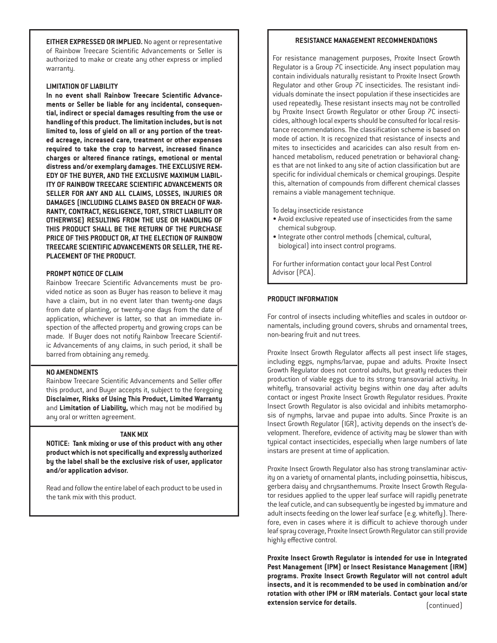**EITHER EXPRESSED OR IMPLIED.** No agent or representative of Rainbow Treecare Scientific Advancements or Seller is authorized to make or create any other express or implied warranty.

#### **LIMITATION OF LIABILITY**

**In no event shall Rainbow Treecare Scientific Advancements or Seller be liable for any incidental, consequential, indirect or special damages resulting from the use or handling of this product. The limitation includes, but is not limited to, loss of yield on all or any portion of the treated acreage, increased care, treatment or other expenses required to take the crop to harvest, increased finance charges or altered finance ratings, emotional or mental distress and/or exemplary damages. THE EXCLUSIVE REM-EDY OF THE BUYER, AND THE EXCLUSIVE MAXIMUM LIABIL-ITY OF RAINBOW TREECARE SCIENTIFIC ADVANCEMENTS OR SELLER FOR ANY AND ALL CLAIMS, LOSSES, INJURIES OR DAMAGES (INCLUDING CLAIMS BASED ON BREACH OF WAR-RANTY, CONTRACT, NEGLIGENCE, TORT, STRICT LIABILITY OR OTHERWISE) RESULTING FROM THE USE OR HANDLING OF THIS PRODUCT SHALL BE THE RETURN OF THE PURCHASE PRICE OF THIS PRODUCT OR, AT THE ELECTION OF RAINBOW TREECARE SCIENTIFIC ADVANCEMENTS OR SELLER, THE RE-PLACEMENT OF THE PRODUCT.**

#### **PROMPT NOTICE OF CLAIM**

Rainbow Treecare Scientific Advancements must be provided notice as soon as Buyer has reason to believe it may have a claim, but in no event later than twenty-one days from date of planting, or twenty-one days from the date of application, whichever is latter, so that an immediate inspection of the affected property and growing crops can be made. If Buyer does not notify Rainbow Treecare Scientific Advancements of any claims, in such period, it shall be barred from obtaining any remedy.

#### **NO AMENDMENTS**

Rainbow Treecare Scientific Advancements and Seller offer this product, and Buyer accepts it, subject to the foregoing **Disclaimer, Risks of Using This Product, Limited Warranty**  and **Limitation of Liability,** which may not be modified by any oral or written agreement.

#### **TANK MIX**

**NOTICE: Tank mixing or use of this product with any other product which is not specifically and expressly authorized by the label shall be the exclusive risk of user, applicator and/or application advisor.**

Read and follow the entire label of each product to be used in the tank mix with this product.

#### **RESISTANCE MANAGEMENT RECOMMENDATIONS**

For resistance management purposes, Proxite Insect Growth Regulator is a Group 7C insecticide. Any insect population may contain individuals naturally resistant to Proxite Insect Growth Regulator and other Group 7C insecticides. The resistant individuals dominate the insect population if these insecticides are used repeatedly. These resistant insects may not be controlled by Proxite Insect Growth Regulator or other Group 7C insecticides, although local experts should be consulted for local resistance recommendations. The classification scheme is based on mode of action. It is recognized that resistance of insects and mites to insecticides and acaricides can also result from enhanced metabolism, reduced penetration or behavioral changes that are not linked to any site of action classification but are specific for individual chemicals or chemical groupings. Despite this, alternation of compounds from different chemical classes remains a viable management technique.

To delay insecticide resistance

- Avoid exclusive repeated use of insecticides from the same chemical subgroup.
- Integrate other control methods (chemical, cultural, biological) into insect control programs.

For further information contact your local Pest Control Advisor (PCA).

#### **PRODUCT INFORMATION**

For control of insects including whiteflies and scales in outdoor ornamentals, including ground covers, shrubs and ornamental trees, non-bearing fruit and nut trees.

Proxite Insect Growth Regulator affects all pest insect life stages, including eggs, nymphs/larvae, pupae and adults. Proxite Insect Growth Regulator does not control adults, but greatly reduces their production of viable eggs due to its strong transovarial activity. In whitefly, transovarial activity begins within one day after adults contact or ingest Proxite Insect Growth Regulator residues. Proxite Insect Growth Regulator is also ovicidal and inhibits metamorphosis of nymphs, larvae and pupae into adults. Since Proxite is an Insect Growth Regulator (IGR), activity depends on the insect's development. Therefore, evidence of activity may be slower than with typical contact insecticides, especially when large numbers of late instars are present at time of application.

Proxite Insect Growth Regulator also has strong translaminar activity on a variety of ornamental plants, including poinsettia, hibiscus, gerbera daisy and chrysanthemums. Proxite Insect Growth Regulator residues applied to the upper leaf surface will rapidly penetrate the leaf cuticle, and can subsequently be ingested by immature and adult insects feeding on the lower leaf surface (e.g. whitefly). Therefore, even in cases where it is difficult to achieve thorough under leaf spray coverage, Proxite Insect Growth Regulator can still provide highly effective control.

**Proxite Insect Growth Regulator is intended for use in Integrated Pest Management (IPM) or Insect Resistance Management (IRM) programs. Proxite Insect Growth Regulator will not control adult insects, and it is recommended to be used in combination and/or rotation with other IPM or IRM materials. Contact your local state extension service for details.** (continued)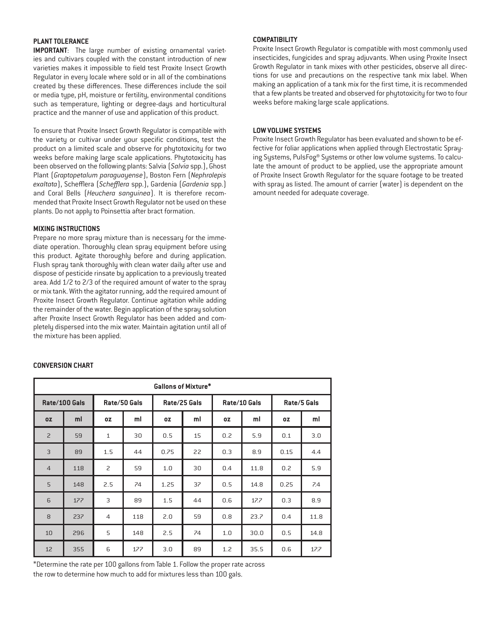#### **PLANT TOLERANCE**

**IMPORTANT**: The large number of existing ornamental varieties and cultivars coupled with the constant introduction of new varieties makes it impossible to field test Proxite Insect Growth Regulator in every locale where sold or in all of the combinations created by these differences. These differences include the soil or media type, pH, moisture or fertility, environmental conditions such as temperature, lighting or degree-days and horticultural practice and the manner of use and application of this product.

To ensure that Proxite Insect Growth Regulator is compatible with the variety or cultivar under your specific conditions, test the product on a limited scale and observe for phytotoxicity for two weeks before making large scale applications. Phytotoxicity has been observed on the following plants: Salvia (*Salvia* spp.), Ghost Plant (*Graptopetalum paraguayense*), Boston Fern (*Nephrolepis exaltata*), Schefflera (*Schefflera* spp.), Gardenia (*Gardenia* spp.) and Coral Bells (*Heuchera sanguinea*). It is therefore recommended that Proxite Insect Growth Regulator not be used on these plants. Do not apply to Poinsettia after bract formation.

#### **MIXING INSTRUCTIONS**

Prepare no more spray mixture than is necessary for the immediate operation. Thoroughly clean spray equipment before using this product. Agitate thoroughly before and during application. Flush spray tank thoroughly with clean water daily after use and dispose of pesticide rinsate by application to a previously treated area. Add 1/2 to 2/3 of the required amount of water to the spray or mix tank. With the agitator running, add the required amount of Proxite Insect Growth Regulator. Continue agitation while adding the remainder of the water. Begin application of the spray solution after Proxite Insect Growth Regulator has been added and completely dispersed into the mix water. Maintain agitation until all of the mixture has been applied.

#### **CONVERSION CHART**

| <b>Gallons of Mixture*</b> |     |              |     |              |    |              |      |             |      |
|----------------------------|-----|--------------|-----|--------------|----|--------------|------|-------------|------|
| Rate/100 Gals              |     | Rate/50 Gals |     | Rate/25 Gals |    | Rate/10 Gals |      | Rate/5 Gals |      |
| 0Z                         | ml  | 0Z           | ml  | 0Z           | ml | 0Z           | ml   | 0Z          | ml   |
| $\overline{c}$             | 59  | $\mathbf{1}$ | 30  | 0.5          | 15 | 0.2          | 5.9  | 0.1         | 3.0  |
| 3                          | 89  | 1.5          | 44  | 0.75         | 22 | 0.3          | 8.9  | 0.15        | 4.4  |
| $\overline{4}$             | 118 | 2            | 59  | 1.0          | 30 | 0.4          | 11.8 | 0.2         | 5.9  |
| 5                          | 148 | 2.5          | 74  | 1.25         | 37 | 0.5          | 14.8 | 0.25        | 7.4  |
| 6                          | 177 | 3            | 89  | 1.5          | 44 | 0.6          | 17.7 | 0.3         | 8.9  |
| 8                          | 237 | 4            | 118 | 2.0          | 59 | 0.8          | 23.7 | 0.4         | 11.8 |
| 10                         | 296 | 5            | 148 | 2.5          | 74 | 1.0          | 30.0 | 0.5         | 14.8 |
| 12                         | 355 | 6            | 177 | 3.0          | 89 | 1.2          | 35.5 | 0.6         | 17.7 |

\*Determine the rate per 100 gallons from Table 1. Follow the proper rate across the row to determine how much to add for mixtures less than 100 gals.

#### **COMPATIBILITY**

Proxite Insect Growth Regulator is compatible with most commonly used insecticides, fungicides and spray adjuvants. When using Proxite Insect Growth Regulator in tank mixes with other pesticides, observe all directions for use and precautions on the respective tank mix label. When making an application of a tank mix for the first time, it is recommended that a few plants be treated and observed for phytotoxicity for two to four weeks before making large scale applications.

#### **LOW VOLUME SYSTEMS**

Proxite Insect Growth Regulator has been evaluated and shown to be effective for foliar applications when applied through Electrostatic Spraying Systems, PulsFog® Systems or other low volume systems. To calculate the amount of product to be applied, use the appropriate amount of Proxite Insect Growth Regulator for the square footage to be treated with spray as listed. The amount of carrier (water) is dependent on the amount needed for adequate coverage.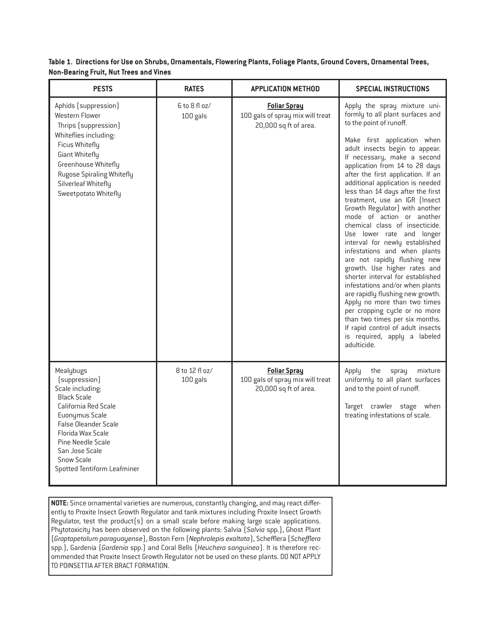| <b>PESTS</b>                                                                                                                                                                                                                                                  | <b>RATES</b>                  | <b>APPLICATION METHOD</b>                                                        | <b>SPECIAL INSTRUCTIONS</b>                                                                                                                                                                                                                                                                                                                                                                                                                                                                                                                                                                                                                                                                                                                                                                                                                                                                                                                     |
|---------------------------------------------------------------------------------------------------------------------------------------------------------------------------------------------------------------------------------------------------------------|-------------------------------|----------------------------------------------------------------------------------|-------------------------------------------------------------------------------------------------------------------------------------------------------------------------------------------------------------------------------------------------------------------------------------------------------------------------------------------------------------------------------------------------------------------------------------------------------------------------------------------------------------------------------------------------------------------------------------------------------------------------------------------------------------------------------------------------------------------------------------------------------------------------------------------------------------------------------------------------------------------------------------------------------------------------------------------------|
| Aphids (suppression)<br><b>Western Flower</b><br>Thrips (suppression)<br>Whiteflies including:<br>Ficus Whitefly<br>Giant Whitefly<br>Greenhouse Whitefly<br>Rugose Spiraling Whitefly<br>Silverleaf Whitefly<br>Sweetpotato Whitefly                         | $6$ to $8$ fl oz/<br>100 gals | <b>Foliar Spray</b><br>100 gals of spray mix will treat<br>20,000 sq ft of area. | Apply the spray mixture uni-<br>formly to all plant surfaces and<br>to the point of runoff.<br>Make first application when<br>adult insects begin to appear.<br>If necessary, make a second<br>application from 14 to 28 days<br>after the first application. If an<br>additional application is needed<br>less than 14 days after the first<br>treatment, use an IGR [Insect<br>Growth Regulator) with another<br>mode of action or another<br>chemical class of insecticide.<br>Use lower rate and longer<br>interval for newly established<br>infestations and when plants<br>are not rapidly flushing new<br>growth. Use higher rates and<br>shorter interval for established<br>infestations and/or when plants<br>are rapidly flushing new growth.<br>Apply no more than two times<br>per cropping cycle or no more<br>than two times per six months.<br>If rapid control of adult insects<br>is required, apply a labeled<br>adulticide. |
| Mealybugs<br>(suppression)<br>Scale including:<br><b>Black Scale</b><br>California Red Scale<br>Euonymus Scale<br><b>False Oleander Scale</b><br>Florida Wax Scale<br>Pine Needle Scale<br>San Jose Scale<br><b>Snow Scale</b><br>Spotted Tentiform Leafminer | 8 to 12 fl oz/<br>100 gals    | <b>Foliar Spray</b><br>100 gals of spray mix will treat<br>20,000 sq ft of area. | Apply<br>the<br>mixture<br>spray<br>uniformly to all plant surfaces<br>and to the point of runoff.<br>Target crawler stage when<br>treating infestations of scale.                                                                                                                                                                                                                                                                                                                                                                                                                                                                                                                                                                                                                                                                                                                                                                              |

**Table 1. Directions for Use on Shrubs, Ornamentals, Flowering Plants, Foliage Plants, Ground Covers, Ornamental Trees, Non-Bearing Fruit, Nut Trees and Vines**

**NOTE:** Since ornamental varieties are numerous, constantly changing, and may react differently to Proxite Insect Growth Regulator and tank mixtures including Proxite Insect Growth Regulator, test the product(s) on a small scale before making large scale applications. Phytotoxicity has been observed on the following plants: Salvia (*Salvia* spp.), Ghost Plant (*Graptopetalum paraguayense*), Boston Fern (*Nephrolepis exaltata*), Schefflera (*Schefflera* spp.), Gardenia (*Gardenia* spp.) and Coral Bells (*Heuchera sanguinea*). It is therefore recommended that Proxite Insect Growth Regulator not be used on these plants. DO NOT APPLY TO POINSETTIA AFTER BRACT FORMATION.